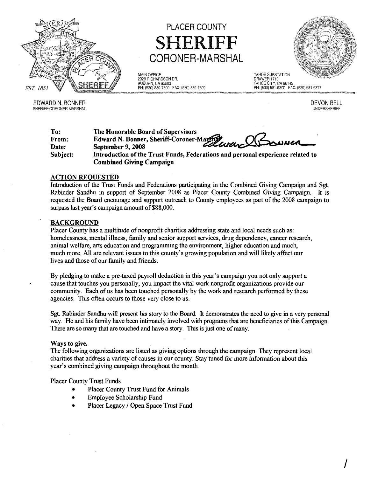

EDWARD N. BONNER SHERIFF-CORONER-MARSHAL

# PLACER COUNTY HERIFF CORONER-MARSHAL

MAIN OFFICE TAHOE SUBSTATION WANN OFFICE<br>2929 RICHARDSON DR.<br>AUBURN, CA 95603 AUBURN. CA 95603 TAHOE CITY, CA 96145



DEVON BELL UNDERSHERIFF

/

~~i&i~~""""",,=-,,:P:H~: (~53~02),:88:9-~78:00~FA~X:~(5:30:) 8:89:-7:89:9"",""="""""""",=\_\_",",~=~~"",~""1..,-~=77~"",,,,,,, .""'''''""..,...~

| To:<br>From: | The Honorable Board of Supervisors                                              |
|--------------|---------------------------------------------------------------------------------|
| Date:        | Edward N. Bonner, Sheriff-Coroner-Machine Queren Classwuck<br>September 9, 2008 |
| Subject:     | Introduction of the Trust Funds, Federations and personal experience related to |
|              | <b>Combined Giving Campaign</b>                                                 |

## ACTION REOUESTED

Introduction of the Trust Funds and Federations participating in the Combined Giving Campaign and Sgt. Rabinder Sandhu in support of September *2008* as Placer County Combined Giving Campaign. It is requested the Board encourage and support outreach to County employees as part ofthe 2008 campaign to surpass last year's campaign amount of \$88,000.

#### BACKGROUND

Placer County has a multitude of nonprofit charities addressing state and local needs such as: homelessness, mental illness, family and senior support services, drug dependency, cancer research, animal welfare, arts education and programming the environment, higher education and much, much more. All are relevant issues to this county's growing population and will likely affect our lives and those of our family and friends.

By pledging to make a pre-taxed payroll deduction in this year's campaign you not only support a cause that touches you personally, you impact the vital work nonprofit organizations provide our community. Each of us has been touched personally by the work and research performed by these agencies. This often occurs to those very close to us.

Sgt. Rabinder Sandhu will present his story to the Board. It demonstrates the need to give in a very personal way. He and his family have been intimately involved with programs that are beneficiaries ofthis Campaign. There are so many that are touched and have a story. This is just one of many.

#### Ways to give.

The following organizations are listed as giving options through the campaign. They represent local charities that address a variety of causes in our county. Stay tuned for more information about this year's combined giving campaign throughout the month.

Placer County Trust Funds

- Placer County Trust Fund for Animals
- Employee Scholarship Fund
- Placer Legacy / Open Space Trust Fund